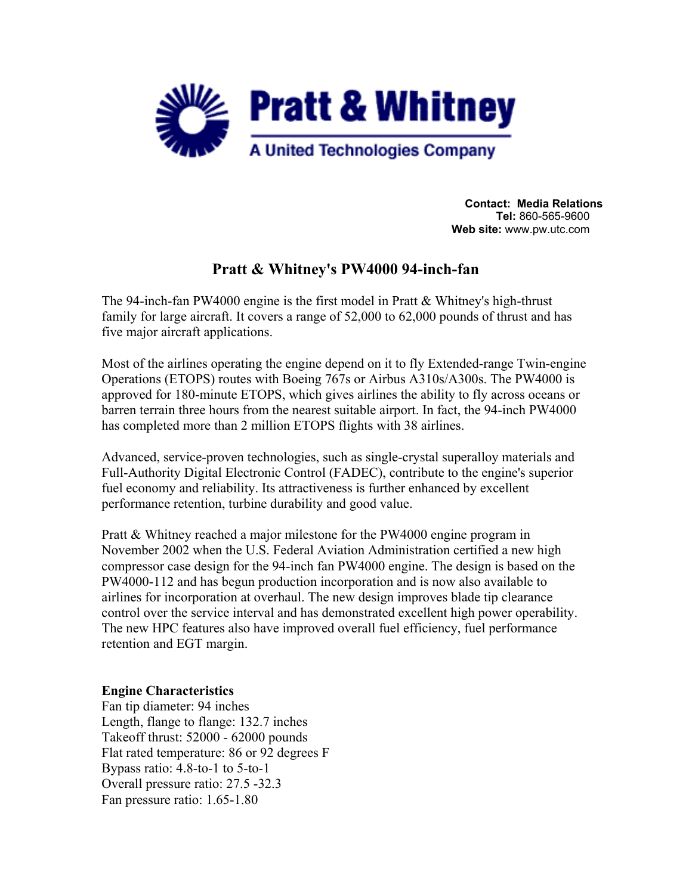

**Contact: Media Relations Tel:** 860-565-9600 **Web site:** www.pw.utc.com

# **Pratt & Whitney's PW4000 94-inch-fan**

The 94-inch-fan PW4000 engine is the first model in Pratt & Whitney's high-thrust family for large aircraft. It covers a range of 52,000 to 62,000 pounds of thrust and has five major aircraft applications.

Most of the airlines operating the engine depend on it to fly Extended-range Twin-engine Operations (ETOPS) routes with Boeing 767s or Airbus A310s/A300s. The PW4000 is approved for 180-minute ETOPS, which gives airlines the ability to fly across oceans or barren terrain three hours from the nearest suitable airport. In fact, the 94-inch PW4000 has completed more than 2 million ETOPS flights with 38 airlines.

Advanced, service-proven technologies, such as single-crystal superalloy materials and Full-Authority Digital Electronic Control (FADEC), contribute to the engine's superior fuel economy and reliability. Its attractiveness is further enhanced by excellent performance retention, turbine durability and good value.

Pratt & Whitney reached a major milestone for the PW4000 engine program in November 2002 when the U.S. Federal Aviation Administration certified a new high compressor case design for the 94-inch fan PW4000 engine. The design is based on the PW4000-112 and has begun production incorporation and is now also available to airlines for incorporation at overhaul. The new design improves blade tip clearance control over the service interval and has demonstrated excellent high power operability. The new HPC features also have improved overall fuel efficiency, fuel performance retention and EGT margin.

## **Engine Characteristics**

Fan tip diameter: 94 inches Length, flange to flange: 132.7 inches Takeoff thrust: 52000 - 62000 pounds Flat rated temperature: 86 or 92 degrees F Bypass ratio: 4.8-to-1 to 5-to-1 Overall pressure ratio: 27.5 -32.3 Fan pressure ratio: 1.65-1.80